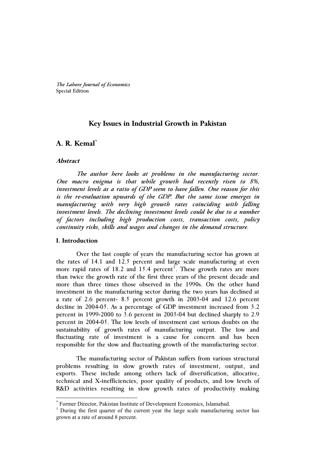*The Lahore Journal of Economics* Special Edition

## **Key Issues in Industrial Growth in Pakistan**

# **A. R. Kemal\***

### **Abstract**

 *The author here looks at problems in the manufacturing sector. One macro enigma is that while growth had recently risen to 8%, investment levels as a ratio of GDP seem to have fallen. One reason for this is the re-evaluation upwards of the GDP. But the same issue emerges in manufacturing with very high growth rates coinciding with falling investment levels. The declining investment levels could be due to a number of factors including high production costs, transaction costs, policy continuity risks, skills and wages and changes in the demand structure.* 

#### **I. Introduction**

j

Over the last couple of years the manufacturing sector has grown at the rates of 14.1 and 12.5 percent and large scale manufacturing at even more rapid rates of 18.2 and 15.4 percent<sup>1</sup>. These growth rates are more than twice the growth rate of the first three years of the present decade and more than three times those observed in the 1990s. On the other hand investment in the manufacturing sector during the two years has declined at a rate of 2.6 percent- 8.5 percent growth in 2003-04 and 12.6 percent decline in 2004-05. As a percentage of GDP investment increased from 3.2 percent in 1999-2000 to 3.6 percent in 2003-04 but declined sharply to 2.9 percent in 2004-05. The low levels of investment cast serious doubts on the sustainability of growth rates of manufacturing output. The low and fluctuating rate of investment is a cause for concern and has been responsible for the slow and fluctuating growth of the manufacturing sector.

The manufacturing sector of Pakistan suffers from various structural problems resulting in slow growth rates of investment, output, and exports. These include among others lack of diversification, allocative, technical and X-inefficiencies, poor quality of products, and low levels of R&D activities resulting in slow growth rates of productivity making

<sup>\*</sup> Former Director, Pakistan Institute of Development Economics, Islamabad.

<sup>&</sup>lt;sup>1</sup> During the first quarter of the current year the large scale manufacturing sector has grown at a rate of around 8 percent.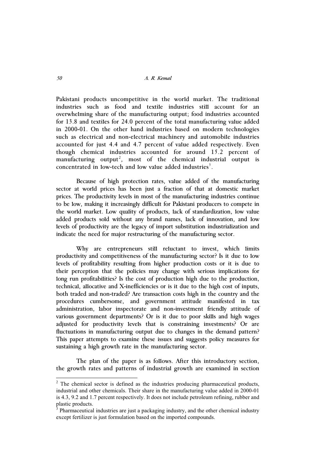Pakistani products uncompetitive in the world market. The traditional industries such as food and textile industries still account for an overwhelming share of the manufacturing output; food industries accounted for 13.8 and textiles for 24.0 percent of the total manufacturing value added in 2000-01. On the other hand industries based on modern technologies such as electrical and non-electrical machinery and automobile industries accounted for just 4.4 and 4.7 percent of value added respectively. Even though chemical industries accounted for around 15.2 percent of manufacturing output<sup>2</sup>, most of the chemical industrial output is concentrated in low-tech and low value added industries<sup>3</sup>.

Because of high protection rates, value added of the manufacturing sector at world prices has been just a fraction of that at domestic market prices. The productivity levels in most of the manufacturing industries continue to be low, making it increasingly difficult for Pakistani producers to compete in the world market. Low quality of products, lack of standardization, low value added products sold without any brand names, lack of innovation, and low levels of productivity are the legacy of import substitution industrialization and indicate the need for major restructuring of the manufacturing sector.

Why are entrepreneurs still reluctant to invest, which limits productivity and competitiveness of the manufacturing sector? Is it due to low levels of profitability resulting from higher production costs or it is due to their perception that the policies may change with serious implications for long run profitabilities? Is the cost of production high due to the production, technical, allocative and X-inefficiencies or is it due to the high cost of inputs, both traded and non-traded? Are transaction costs high in the country and the procedures cumbersome, and government attitude manifested in tax administration, labor inspectorate and non-investment friendly attitude of various government departments? Or is it due to poor skills and high wages adjusted for productivity levels that is constraining investments? Or are fluctuations in manufacturing output due to changes in the demand pattern? This paper attempts to examine these issues and suggests policy measures for sustaining a high growth rate in the manufacturing sector.

The plan of the paper is as follows. After this introductory section, the growth rates and patterns of industrial growth are examined in section

-

 $2$  The chemical sector is defined as the industries producing pharmaceutical products, industrial and other chemicals. Their share in the manufacturing value added in 2000-01 is 4.3, 9.2 and 1.7 percent respectively. It does not include petroleum refining, rubber and plastic products.

<sup>3</sup> Pharmaceutical industries are just a packaging industry, and the other chemical industry except fertilizer is just formulation based on the imported compounds.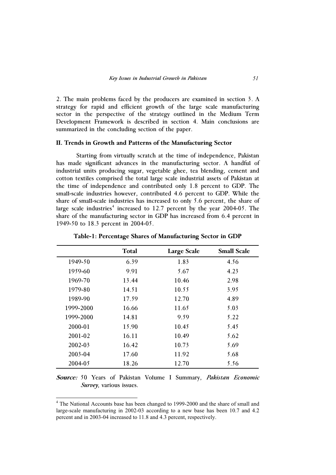2. The main problems faced by the producers are examined in section 3. A strategy for rapid and efficient growth of the large scale manufacturing sector in the perspective of the strategy outlined in the Medium Term Development Framework is described in section 4. Main conclusions are summarized in the concluding section of the paper.

## **II. Trends in Growth and Patterns of the Manufacturing Sector**

Starting from virtually scratch at the time of independence, Pakistan has made significant advances in the manufacturing sector. A handful of industrial units producing sugar, vegetable ghee, tea blending, cement and cotton textiles comprised the total large scale industrial assets of Pakistan at the time of independence and contributed only 1.8 percent to GDP. The small-scale industries however, contributed 4.6 percent to GDP. While the share of small-scale industries has increased to only 5.6 percent, the share of large scale industries<sup>4</sup> increased to 12.7 percent by the year 2004-05. The share of the manufacturing sector in GDP has increased from 6.4 percent in 1949-50 to 18.3 percent in 2004-05.

|           | <b>Total</b> | <b>Large Scale</b> | <b>Small Scale</b> |
|-----------|--------------|--------------------|--------------------|
| 1949-50   | 6.39         | 1.83               | 4.56               |
| 1959-60   | 9.91         | 5.67               | 4.23               |
| 1969-70   | 13.44        | 10.46              | 2.98               |
| 1979-80   | 14.51        | 10.55              | 3.95               |
| 1989-90   | 17.59        | 12.70              | 4.89               |
| 1999-2000 | 16.66        | 11.65              | 5.03               |
| 1999-2000 | 14.81        | 9.59               | 5.22               |
| 2000-01   | 15.90        | 10.45              | 5.45               |
| 2001-02   | 16.11        | 10.49              | 5.62               |
| 2002-03   | 16.42        | 10.73              | 5.69               |
| 2003-04   | 17.60        | 11.92              | 5.68               |
| 2004-05   | 18.26        | 12.70              | 5.56               |

**Table-1: Percentage Shares of Manufacturing Sector in GDP** 

**Source:** 50 Years of Pakistan Volume I Summary, *Pakistan Economic Survey*, various issues.

j

<sup>&</sup>lt;sup>4</sup> The National Accounts base has been changed to 1999-2000 and the share of small and large-scale manufacturing in 2002-03 according to a new base has been 10.7 and 4.2 percent and in 2003-04 increased to 11.8 and 4.3 percent, respectively.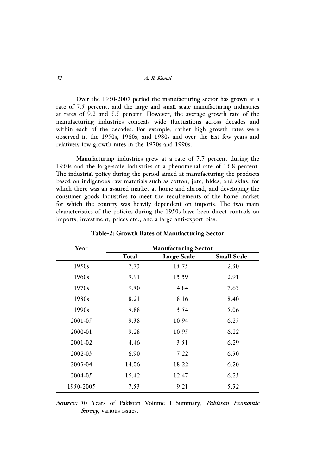Over the 1950-2005 period the manufacturing sector has grown at a rate of 7.5 percent, and the large and small scale manufacturing industries at rates of 9.2 and 5.5 percent. However, the average growth rate of the manufacturing industries conceals wide fluctuations across decades and within each of the decades. For example, rather high growth rates were observed in the 1950s, 1960s, and 1980s and over the last few years and relatively low growth rates in the 1970s and 1990s.

Manufacturing industries grew at a rate of 7.7 percent during the 1950s and the large-scale industries at a phenomenal rate of 15.8 percent. The industrial policy during the period aimed at manufacturing the products based on indigenous raw materials such as cotton, jute, hides, and skins, for which there was an assured market at home and abroad, and developing the consumer goods industries to meet the requirements of the home market for which the country was heavily dependent on imports. The two main characteristics of the policies during the 1950s have been direct controls on imports, investment, prices etc., and a large anti-export bias.

| Year              | <b>Manufacturing Sector</b> |                    |                    |  |
|-------------------|-----------------------------|--------------------|--------------------|--|
|                   | Total                       | <b>Large Scale</b> | <b>Small Scale</b> |  |
| 1950 <sub>s</sub> | 7.73                        | 15.75              | 2.30               |  |
| 1960s             | 9.91                        | 13.39              | 2.91               |  |
| 1970 <sub>s</sub> | 5.50                        | 4.84               | 7.63               |  |
| 1980s             | 8.21                        | 8.16               | 8.40               |  |
| 1990 <sub>s</sub> | 3.88                        | 3.54               | 5.06               |  |
| 2001-05           | 9.38                        | 10.94              | 6.25               |  |
| 2000-01           | 9.28                        | 10.95              | 6.22               |  |
| 2001-02           | 4.46                        | 3.51               | 6.29               |  |
| 2002-03           | 6.90                        | 7.22               | 6.30               |  |
| 2003-04           | 14.06                       | 18.22              | 6.20               |  |
| 2004-05           | 15.42                       | 12.47              | 6.25               |  |
| 1950-2005         | 7.53                        | 9.21               | 5.32               |  |

**Table-2: Growth Rates of Manufacturing Sector** 

**Source:** 50 Years of Pakistan Volume I Summary, *Pakistan Economic Survey*, various issues.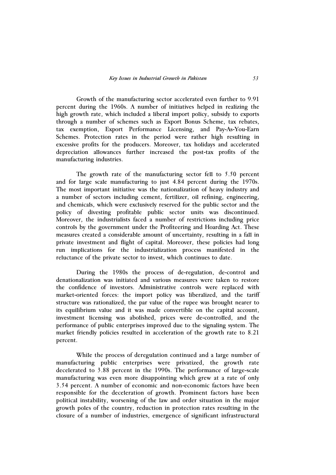Growth of the manufacturing sector accelerated even further to 9.91 percent during the 1960s. A number of initiatives helped in realizing the high growth rate, which included a liberal import policy, subsidy to exports through a number of schemes such as Export Bonus Scheme, tax rebates, tax exemption, Export Performance Licensing, and Pay-As-You-Earn Schemes. Protection rates in the period were rather high resulting in excessive profits for the producers. Moreover, tax holidays and accelerated depreciation allowances further increased the post-tax profits of the manufacturing industries.

 The growth rate of the manufacturing sector fell to 5.50 percent and for large scale manufacturing to just 4.84 percent during the 1970s. The most important initiative was the nationalization of heavy industry and a number of sectors including cement, fertilizer, oil refining, engineering, and chemicals, which were exclusively reserved for the public sector and the policy of divesting profitable public sector units was discontinued. Moreover, the industrialists faced a number of restrictions including price controls by the government under the Profiteering and Hoarding Act. These measures created a considerable amount of uncertainty, resulting in a fall in private investment and flight of capital. Moreover, these policies had long run implications for the industrialization process manifested in the reluctance of the private sector to invest, which continues to date.

During the 1980s the process of de-regulation, de-control and denationalization was initiated and various measures were taken to restore the confidence of investors. Administrative controls were replaced with market-oriented forces: the import policy was liberalized, and the tariff structure was rationalized, the par value of the rupee was brought nearer to its equilibrium value and it was made convertible on the capital account, investment licensing was abolished, prices were de-controlled, and the performance of public enterprises improved due to the signaling system. The market friendly policies resulted in acceleration of the growth rate to 8.21 percent.

While the process of deregulation continued and a large number of manufacturing public enterprises were privatized, the growth rate decelerated to 3.88 percent in the 1990s. The performance of large-scale manufacturing was even more disappointing which grew at a rate of only 3.54 percent. A number of economic and non-economic factors have been responsible for the deceleration of growth. Prominent factors have been political instability, worsening of the law and order situation in the major growth poles of the country, reduction in protection rates resulting in the closure of a number of industries, emergence of significant infrastructural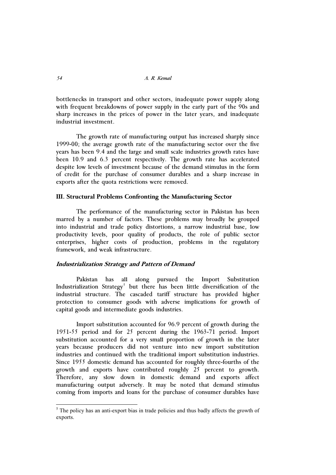bottlenecks in transport and other sectors, inadequate power supply along with frequent breakdowns of power supply in the early part of the 90s and sharp increases in the prices of power in the later years, and inadequate industrial investment.

 The growth rate of manufacturing output has increased sharply since 1999-00; the average growth rate of the manufacturing sector over the five years has been 9.4 and the large and small scale industries growth rates have been 10.9 and 6.3 percent respectively. The growth rate has accelerated despite low levels of investment because of the demand stimulus in the form of credit for the purchase of consumer durables and a sharp increase in exports after the quota restrictions were removed.

## **III. Structural Problems Confronting the Manufacturing Sector**

The performance of the manufacturing sector in Pakistan has been marred by a number of factors. These problems may broadly be grouped into industrial and trade policy distortions, a narrow industrial base, low productivity levels, poor quality of products, the role of public sector enterprises, higher costs of production, problems in the regulatory framework, and weak infrastructure.

### **Industrialization Strategy and Pattern of Demand**

Pakistan has all along pursued the Import Substitution Industrialization Strategy<sup>5</sup> but there has been little diversification of the industrial structure. The cascaded tariff structure has provided higher protection to consumer goods with adverse implications for growth of capital goods and intermediate goods industries.

Import substitution accounted for 96.9 percent of growth during the 1951-55 period and for 25 percent during the 1963-71 period. Import substitution accounted for a very small proportion of growth in the later years because producers did not venture into new import substitution industries and continued with the traditional import substitution industries. Since 1955 domestic demand has accounted for roughly three-fourths of the growth and exports have contributed roughly 25 percent to growth. Therefore, any slow down in domestic demand and exports affect manufacturing output adversely. It may be noted that demand stimulus coming from imports and loans for the purchase of consumer durables have

-

<sup>&</sup>lt;sup>5</sup> The policy has an anti-export bias in trade policies and thus badly affects the growth of exports.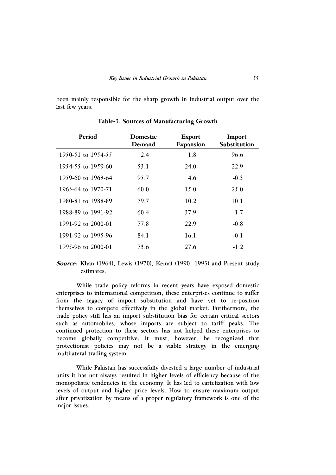been mainly responsible for the sharp growth in industrial output over the last few years.

| Period             | <b>Domestic</b><br>Demand | <b>Export</b><br><b>Expansion</b> | Import<br>Substitution |
|--------------------|---------------------------|-----------------------------------|------------------------|
| 1950-51 to 1954-55 | 2.4                       | 1.8                               | 96.6                   |
| 1954-55 to 1959-60 | 53.1                      | 24.0                              | 22.9                   |
| 1959-60 to 1963-64 | 95.7                      | 4.6                               | $-0.3$                 |
| 1963-64 to 1970-71 | 60.0                      | 15.0                              | 25.0                   |
| 1980-81 to 1988-89 | 79.7                      | 10.2                              | 10.1                   |
| 1988-89 to 1991-92 | 60.4                      | 37.9                              | 1.7                    |
| 1991-92 to 2000-01 | 77.8                      | 22.9                              | $-0.8$                 |
| 1991-92 to 1995-96 | 84.1                      | 16.1                              | $-0.1$                 |
| 1995-96 to 2000-01 | 73.6                      | 27.6                              | $-1.2$                 |

**Table-3: Sources of Manufacturing Growth** 

**Source:** Khan (1964), Lewis (1970), Kemal (1990, 1993) and Present study estimates.

While trade policy reforms in recent years have exposed domestic enterprises to international competition, these enterprises continue to suffer from the legacy of import substitution and have yet to re-position themselves to compete effectively in the global market. Furthermore, the trade policy still has an import substitution bias for certain critical sectors such as automobiles, whose imports are subject to tariff peaks. The continued protection to these sectors has not helped these enterprises to become globally competitive. It must, however, be recognized that protectionist policies may not be a viable strategy in the emerging multilateral trading system.

While Pakistan has successfully divested a large number of industrial units it has not always resulted in higher levels of efficiency because of the monopolistic tendencies in the economy. It has led to cartelization with low levels of output and higher price levels. How to ensure maximum output after privatization by means of a proper regulatory framework is one of the major issues.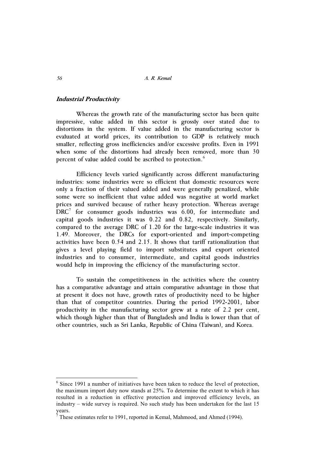#### **Industrial Productivity**

Whereas the growth rate of the manufacturing sector has been quite impressive, value added in this sector is grossly over stated due to distortions in the system. If value added in the manufacturing sector is evaluated at world prices, its contribution to GDP is relatively much smaller, reflecting gross inefficiencies and/or excessive profits. Even in 1991 when some of the distortions had already been removed, more than 30 percent of value added could be ascribed to protection.<sup>6</sup>

Efficiency levels varied significantly across different manufacturing industries: some industries were so efficient that domestic resources were only a fraction of their valued added and were generally penalized, while some were so inefficient that value added was negative at world market prices and survived because of rather heavy protection. Whereas average DRC<sup>7</sup> for consumer goods industries was 6.00, for intermediate and capital goods industries it was 0.22 and 0.82, respectively. Similarly, compared to the average DRC of 1.20 for the large-scale industries it was 1.49. Moreover, the DRCs for export-oriented and import-competing activities have been 0.54 and 2.15. It shows that tariff rationalization that gives a level playing field to import substitutes and export oriented industries and to consumer, intermediate, and capital goods industries would help in improving the efficiency of the manufacturing sector.

To sustain the competitiveness in the activities where the country has a comparative advantage and attain comparative advantage in those that at present it does not have, growth rates of productivity need to be higher than that of competitor countries. During the period 1992-2001, labor productivity in the manufacturing sector grew at a rate of 2.2 per cent, which though higher than that of Bangladesh and India is lower than that of other countries, such as Sri Lanka, Republic of China (Taiwan), and Korea.

-

 $6$  Since 1991 a number of initiatives have been taken to reduce the level of protection, the maximum import duty now stands at 25%. To determine the extent to which it has resulted in a reduction in effective protection and improved efficiency levels, an industry – wide survey is required. No such study has been undertaken for the last 15 years.

<sup>7</sup> These estimates refer to 1991, reported in Kemal, Mahmood, and Ahmed (1994).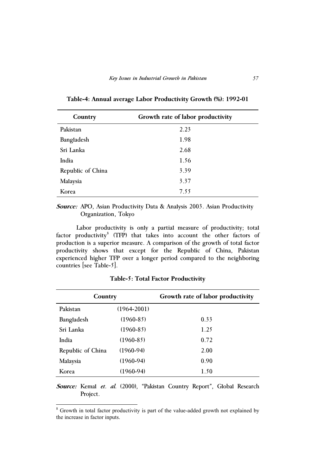| Country           | Growth rate of labor productivity |
|-------------------|-----------------------------------|
| Pakistan          | 2.23                              |
| Bangladesh        | 1.98                              |
| Sri Lanka         | 2.68                              |
| India             | 1.56                              |
| Republic of China | 3.39                              |
| Malaysia          | 3.37                              |
| Korea             | 7.55                              |

**Table-4: Annual average Labor Productivity Growth (%): 1992-01** 

**Source:** APO, Asian Productivity Data & Analysis 2003. Asian Productivity Organization, Tokyo

Labor productivity is only a partial measure of productivity; total factor productivity<sup>8</sup> (TFP) that takes into account the other factors of production is a superior measure. A comparison of the growth of total factor productivity shows that except for the Republic of China, Pakistan experienced higher TFP over a longer period compared to the neighboring countries [see Table-5].

| Country           |                 | Growth rate of labor productivity |
|-------------------|-----------------|-----------------------------------|
| Pakistan          | $(1964 - 2001)$ |                                   |
| Bangladesh        | $(1960 - 85)$   | 0.33                              |
| Sri Lanka         | $(1960 - 85)$   | 1.25                              |
| India             | $(1960 - 85)$   | 0.72                              |
| Republic of China | $(1960-94)$     | 2.00                              |
| Malaysia          | $(1960-94)$     | 0.90                              |
| Korea             | $(1960-94)$     | 1.50                              |

**Table-5: Total Factor Productivity** 

**Source:** Kemal *et. al.* (2000), "Pakistan Country Report", Global Research Project.

<sup>&</sup>lt;sup>8</sup> Growth in total factor productivity is part of the value-added growth not explained by the increase in factor inputs.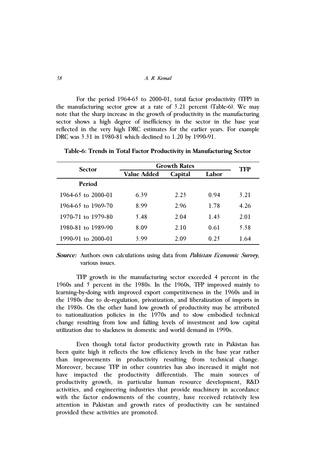For the period 1964-65 to 2000-01, total factor productivity (TFP) in the manufacturing sector grew at a rate of 3.21 percent (Table-6). We may note that the sharp increase in the growth of productivity in the manufacturing sector shows a high degree of inefficiency in the sector in the base year reflected in the very high DRC estimates for the earlier years. For example DRC was 3.31 in 1980-81 which declined to 1.20 by 1990-91.

| <b>Sector</b>      | <b>Growth Rates</b> | TFP     |       |      |  |
|--------------------|---------------------|---------|-------|------|--|
|                    | Value Added         | Capital | Labor |      |  |
| <b>Period</b>      |                     |         |       |      |  |
| 1964-65 to 2000-01 | 6.39                | 2.23    | 0.94  | 3.21 |  |
| 1964-65 to 1969-70 | 8.99                | 2.96    | 1.78  | 4.26 |  |
| 1970-71 to 1979-80 | 5.48                | 2.04    | 1.43  | 2.01 |  |
| 1980-81 to 1989-90 | 8.09                | 2.10    | 0.61  | 5.38 |  |
| 1990-91 to 2000-01 | 3.99                | 2.09    | 0.25  | 1.64 |  |

**Table-6: Trends in Total Factor Productivity in Manufacturing Sector** 

**Source:** Authors own calculations using data from *Pakistan Economic Survey*, various issues.

TFP growth in the manufacturing sector exceeded 4 percent in the 1960s and 5 percent in the 1980s. In the 1960s, TFP improved mainly to learning-by-doing with improved export competitiveness in the 1960s and in the 1980s due to de-regulation, privatization, and liberalization of imports in the 1980s. On the other hand low growth of productivity may be attributed to nationalization policies in the 1970s and to slow embodied technical change resulting from low and falling levels of investment and low capital utilization due to slackness in domestic and world demand in 1990s.

Even though total factor productivity growth rate in Pakistan has been quite high it reflects the low efficiency levels in the base year rather than improvements in productivity resulting from technical change. Moreover, because TFP in other countries has also increased it might not have impacted the productivity differentials. The main sources of productivity growth, in particular human resource development, R&D activities, and engineering industries that provide machinery in accordance with the factor endowments of the country, have received relatively less attention in Pakistan and growth rates of productivity can be sustained provided these activities are promoted.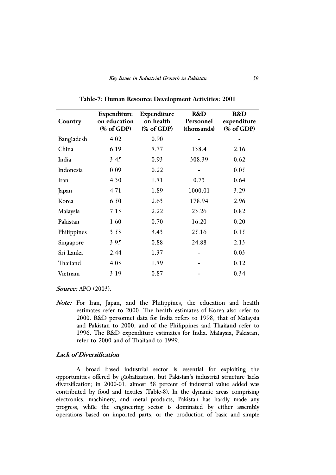|             | Expenditure  | Expenditure | R&D         | R&D         |
|-------------|--------------|-------------|-------------|-------------|
| Country     | on education | on health   | Personnel   | expenditure |
|             | (% of GDP)   | (% of GDP)  | (thousands) | (% of GDP)  |
| Bangladesh  | 4.02         | 0.90        |             |             |
| China       | 6.19         | 5.77        | 138.4       | 2.16        |
| India       | 3.45         | 0.93        | 308.39      | 0.62        |
| Indonesia   | 0.09         | 0.22        |             | 0.05        |
| Iran        | 4.30         | 1.51        | 0.73        | 0.64        |
| Japan       | 4.71         | 1.89        | 1000.01     | 3.29        |
| Korea       | 6.50         | 2.63        | 178.94      | 2.96        |
| Malaysia    | 7.13         | 2.22        | 23.26       | 0.82        |
| Pakistan    | 1.60         | 0.70        | 16.20       | 0.20        |
| Philippines | 3.53         | 3.43        | 25.16       | 0.15        |
| Singapore   | 3.95         | 0.88        | 24.88       | 2.13        |
| Sri Lanka   | 2.44         | 1.37        |             | 0.03        |
| Thailand    | 4.03         | 1.59        |             | 0.12        |
| Vietnam     | 3.19         | 0.87        |             | 0.34        |

**Table-7: Human Resource Development Activities: 2001** 

**Source:** APO (2003).

**Note:** For Iran, Japan, and the Philippines, the education and health estimates refer to 2000. The health estimates of Korea also refer to 2000. R&D personnel data for India refers to 1998, that of Malaysia and Pakistan to 2000, and of the Philippines and Thailand refer to 1996. The R&D expenditure estimates for India. Malaysia, Pakistan, refer to 2000 and of Thailand to 1999.

### **Lack of Diversification**

A broad based industrial sector is essential for exploiting the opportunities offered by globalization, but Pakistan's industrial structure lacks diversification; in 2000-01, almost 38 percent of industrial value added was contributed by food and textiles (Table-8). In the dynamic areas comprising electronics, machinery, and metal products, Pakistan has hardly made any progress, while the engineering sector is dominated by either assembly operations based on imported parts, or the production of basic and simple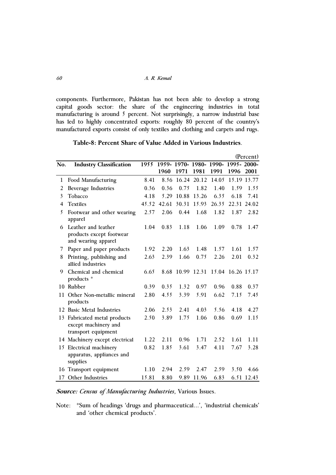components. Furthermore, Pakistan has not been able to develop a strong capital goods sector: the share of the engineering industries in total manufacturing is around 5 percent. Not surprisingly, a narrow industrial base has led to highly concentrated exports: roughly 80 percent of the country's manufactured exports consist of only textiles and clothing and carpets and rugs.

|                         |                                                                          |       |       |       |             |                      |                   | (Percent)   |
|-------------------------|--------------------------------------------------------------------------|-------|-------|-------|-------------|----------------------|-------------------|-------------|
| No.                     | <b>Industry Classification</b>                                           | 1955  |       |       |             | 1959-1970-1980-1990- | 1995-2000-        |             |
|                         |                                                                          |       | 1960  | 1971  | 1981        | 1991                 | 1996              | 2001        |
| 1                       | Food Manufacturing                                                       | 8.41  | 8.56  | 16.24 | 20.12       | 14.05                |                   | 15.19 13.77 |
| 2                       | <b>Beverage Industries</b>                                               | 0.36  | 0.36  | 0.75  | 1.82        | 1.40                 | 1.59              | 1.55        |
| $\overline{\mathbf{3}}$ | Tobacco                                                                  | 4.18  | 5.29  | 10.88 | 13.26       | 6.35                 | 6.18              | 7.41        |
| 4                       | <b>Textiles</b>                                                          | 45.52 | 42.61 | 30.31 | 15.93       | 26.35                |                   | 22.31 24.02 |
| 5                       | Footwear and other wearing<br>apparel                                    | 2.57  | 2.06  | 0.44  | 1.68        | 1.82                 | 1.87              | 2.82        |
| 6                       | Leather and leather<br>products except footwear<br>and wearing apparel   | 1.04  | 0.83  | 1.18  | 1.06        | 1.09                 | 0.78              | 1.47        |
| 7                       | Paper and paper products                                                 | 1.92  | 2.20  | 1.63  | 1.48        | 1.57                 | 1.61              | 1.57        |
| 8                       | Printing, publishing and<br>allied industries                            | 2.63  | 2.39  | 1.66  | 0.75        | 2.26                 | 2.01              | 0.32        |
| 9                       | Chemical and chemical<br>products *                                      | 6.65  | 8.68  |       | 10.99 12.31 |                      | 15.04 16.26 15.17 |             |
|                         | 10 Rubber                                                                | 0.39  | 0.35  | 1.32  | 0.97        | 0.96                 | 0.88              | 0.37        |
| 11                      | Other Non-metallic mineral<br>products                                   | 2.80  | 4.55  | 3.39  | 5.91        | 6.62                 | 7.15              | 7.45        |
|                         | 12 Basic Metal Industries                                                | 2.06  | 2.53  | 2.41  | 4.03        | 5.56                 | 4.18              | 4.27        |
| 13                      | Fabricated metal products<br>except machinery and<br>transport equipment | 2.50  | 3.89  | 1.75  | 1.06        | 0.86                 | 0.69              | 1.15        |
|                         | 14 Machinery except electrical                                           | 1.22  | 2.11  | 0.96  | 1.71        | 2.52                 | 1.61              | 1.11        |
| 15                      | Electrical machinery<br>apparatus, appliances and<br>supplies            | 0.82  | 1.85  | 3.61  | 3.47        | 4.11                 | 7.67              | 3.28        |
| 16                      | Transport equipment                                                      | 1.10  | 2.94  | 2.59  | 2.47        | 2.59                 | 3.50              | 4.66        |
| 17                      | Other Industries                                                         | 15.81 | 8.80  | 9.89  | 11.96       | 6.83                 |                   | 6.51 12.43  |

| Table-8: Percent Share of Value Added in Various Industries. |  |
|--------------------------------------------------------------|--|
|--------------------------------------------------------------|--|

**Source:** *Census of Manufacturing Industries*, Various Issues.

Note: \*Sum of headings 'drugs and pharmaceutical...', 'industrial chemicals' and 'other chemical products'.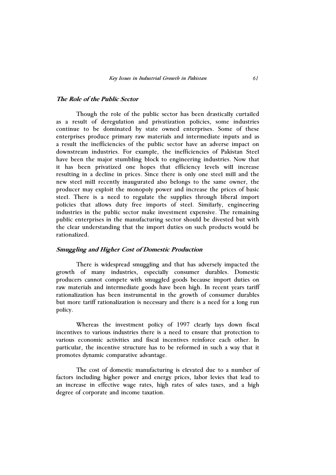### **The Role of the Public Sector**

Though the role of the public sector has been drastically curtailed as a result of deregulation and privatization policies, some industries continue to be dominated by state owned enterprises. Some of these enterprises produce primary raw materials and intermediate inputs and as a result the inefficiencies of the public sector have an adverse impact on downstream industries. For example, the inefficiencies of Pakistan Steel have been the major stumbling block to engineering industries. Now that it has been privatized one hopes that efficiency levels will increase resulting in a decline in prices. Since there is only one steel mill and the new steel mill recently inaugurated also belongs to the same owner, the producer may exploit the monopoly power and increase the prices of basic steel. There is a need to regulate the supplies through liberal import policies that allows duty free imports of steel. Similarly, engineering industries in the public sector make investment expensive. The remaining public enterprises in the manufacturing sector should be divested but with the clear understanding that the import duties on such products would be rationalized.

## **Smuggling and Higher Cost of Domestic Production**

There is widespread smuggling and that has adversely impacted the growth of many industries, especially consumer durables. Domestic producers cannot compete with smuggled goods because import duties on raw materials and intermediate goods have been high. In recent years tariff rationalization has been instrumental in the growth of consumer durables but more tariff rationalization is necessary and there is a need for a long run policy.

 Whereas the investment policy of 1997 clearly lays down fiscal incentives to various industries there is a need to ensure that protection to various economic activities and fiscal incentives reinforce each other. In particular, the incentive structure has to be reformed in such a way that it promotes dynamic comparative advantage.

The cost of domestic manufacturing is elevated due to a number of factors including higher power and energy prices, labor levies that lead to an increase in effective wage rates, high rates of sales taxes, and a high degree of corporate and income taxation.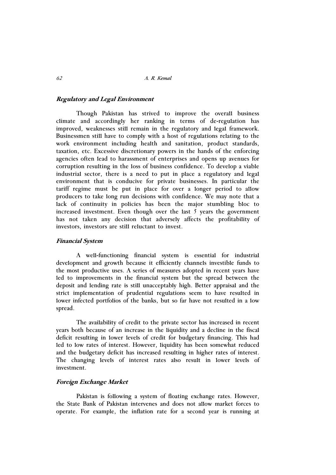## **Regulatory and Legal Environment**

 Though Pakistan has strived to improve the overall business climate and accordingly her ranking in terms of de-regulation has improved, weaknesses still remain in the regulatory and legal framework. Businessmen still have to comply with a host of regulations relating to the work environment including health and sanitation, product standards, taxation, etc. Excessive discretionary powers in the hands of the enforcing agencies often lead to harassment of enterprises and opens up avenues for corruption resulting in the loss of business confidence. To develop a viable industrial sector, there is a need to put in place a regulatory and legal environment that is conducive for private businesses. In particular the tariff regime must be put in place for over a longer period to allow producers to take long run decisions with confidence. We may note that a lack of continuity in policies has been the major stumbling bloc to increased investment. Even though over the last  $5$  years the government has not taken any decision that adversely affects the profitability of investors, investors are still reluctant to invest.

### **Financial System**

A well-functioning financial system is essential for industrial development and growth because it efficiently channels investible funds to the most productive uses. A series of measures adopted in recent years have led to improvements in the financial system but the spread between the deposit and lending rate is still unacceptably high. Better appraisal and the strict implementation of prudential regulations seem to have resulted in lower infected portfolios of the banks, but so far have not resulted in a low spread.

The availability of credit to the private sector has increased in recent years both because of an increase in the liquidity and a decline in the fiscal deficit resulting in lower levels of credit for budgetary financing. This had led to low rates of interest. However, liquidity has been somewhat reduced and the budgetary deficit has increased resulting in higher rates of interest. The changing levels of interest rates also result in lower levels of investment.

## **Foreign Exchange Market**

Pakistan is following a system of floating exchange rates. However, the State Bank of Pakistan intervenes and does not allow market forces to operate. For example, the inflation rate for a second year is running at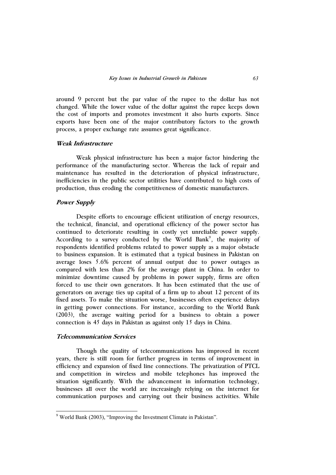around 9 percent but the par value of the rupee to the dollar has not changed. While the lower value of the dollar against the rupee keeps down the cost of imports and promotes investment it also hurts exports. Since exports have been one of the major contributory factors to the growth process, a proper exchange rate assumes great significance.

## **Weak Infrastructure**

Weak physical infrastructure has been a major factor hindering the performance of the manufacturing sector. Whereas the lack of repair and maintenance has resulted in the deterioration of physical infrastructure, inefficiencies in the public sector utilities have contributed to high costs of production, thus eroding the competitiveness of domestic manufacturers.

#### **Power Supply**

 Despite efforts to encourage efficient utilization of energy resources, the technical, financial, and operational efficiency of the power sector has continued to deteriorate resulting in costly yet unreliable power supply. According to a survey conducted by the World Bank<sup>9</sup>, the majority of respondents identified problems related to power supply as a major obstacle to business expansion. It is estimated that a typical business in Pakistan on average loses 5.6% percent of annual output due to power outages as compared with less than 2% for the average plant in China. In order to minimize downtime caused by problems in power supply, firms are often forced to use their own generators. It has been estimated that the use of generators on average ties up capital of a firm up to about 12 percent of its fixed assets. To make the situation worse, businesses often experience delays in getting power connections. For instance, according to the World Bank (2003), the average waiting period for a business to obtain a power connection is 45 days in Pakistan as against only 15 days in China.

### **Telecommunication Services**

-

 Though the quality of telecommunications has improved in recent years, there is still room for further progress in terms of improvement in efficiency and expansion of fixed line connections. The privatization of PTCL and competition in wireless and mobile telephones has improved the situation significantly. With the advancement in information technology, businesses all over the world are increasingly relying on the internet for communication purposes and carrying out their business activities. While

<sup>&</sup>lt;sup>9</sup> World Bank (2003), "Improving the Investment Climate in Pakistan".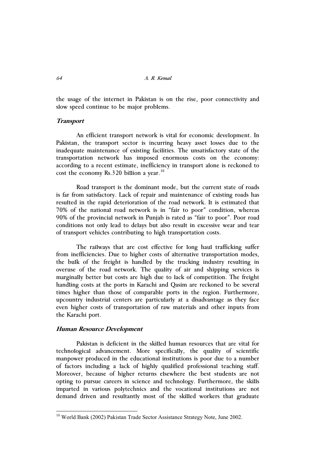the usage of the internet in Pakistan is on the rise, poor connectivity and slow speed continue to be major problems.

## **Transport**

An efficient transport network is vital for economic development. In Pakistan, the transport sector is incurring heavy asset losses due to the inadequate maintenance of existing facilities. The unsatisfactory state of the transportation network has imposed enormous costs on the economy: according to a recent estimate, inefficiency in transport alone is reckoned to cost the economy  $\text{Rs.320}$  billion a year.<sup>10</sup>

Road transport is the dominant mode, but the current state of roads is far from satisfactory. Lack of repair and maintenance of existing roads has resulted in the rapid deterioration of the road network. It is estimated that 70% of the national road network is in "fair to poor" condition, whereas 90% of the provincial network in Punjab is rated as "fair to poor". Poor road conditions not only lead to delays but also result in excessive wear and tear of transport vehicles contributing to high transportation costs.

The railways that are cost effective for long haul trafficking suffer from inefficiencies. Due to higher costs of alternative transportation modes, the bulk of the freight is handled by the trucking industry resulting in overuse of the road network. The quality of air and shipping services is marginally better but costs are high due to lack of competition. The freight handling costs at the ports in Karachi and Qasim are reckoned to be several times higher than those of comparable ports in the region. Furthermore, upcountry industrial centers are particularly at a disadvantage as they face even higher costs of transportation of raw materials and other inputs from the Karachi port.

### **Human Resource Development**

-

Pakistan is deficient in the skilled human resources that are vital for technological advancement. More specifically, the quality of scientific manpower produced in the educational institutions is poor due to a number of factors including a lack of highly qualified professional teaching staff. Moreover, because of higher returns elsewhere the best students are not opting to pursue careers in science and technology. Furthermore, the skills imparted in various polytechnics and the vocational institutions are not demand driven and resultantly most of the skilled workers that graduate

<sup>&</sup>lt;sup>10</sup> World Bank (2002) Pakistan Trade Sector Assistance Strategy Note, June 2002.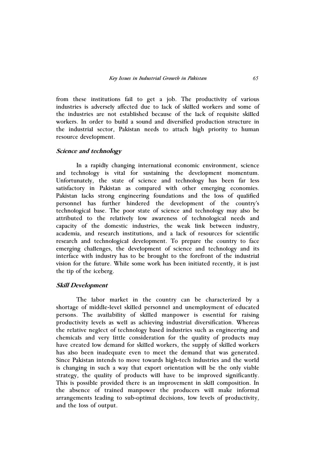from these institutions fail to get a job. The productivity of various industries is adversely affected due to lack of skilled workers and some of the industries are not established because of the lack of requisite skilled workers. In order to build a sound and diversified production structure in the industrial sector, Pakistan needs to attach high priority to human resource development.

## **Science and technology**

In a rapidly changing international economic environment, science and technology is vital for sustaining the development momentum. Unfortunately, the state of science and technology has been far less satisfactory in Pakistan as compared with other emerging economies. Pakistan lacks strong engineering foundations and the loss of qualified personnel has further hindered the development of the country's technological base. The poor state of science and technology may also be attributed to the relatively low awareness of technological needs and capacity of the domestic industries, the weak link between industry, academia, and research institutions, and a lack of resources for scientific research and technological development. To prepare the country to face emerging challenges, the development of science and technology and its interface with industry has to be brought to the forefront of the industrial vision for the future. While some work has been initiated recently, it is just the tip of the iceberg.

#### **Skill Development**

The labor market in the country can be characterized by a shortage of middle-level skilled personnel and unemployment of educated persons. The availability of skilled manpower is essential for raising productivity levels as well as achieving industrial diversification. Whereas the relative neglect of technology based industries such as engineering and chemicals and very little consideration for the quality of products may have created low demand for skilled workers, the supply of skilled workers has also been inadequate even to meet the demand that was generated. Since Pakistan intends to move towards high-tech industries and the world is changing in such a way that export orientation will be the only viable strategy, the quality of products will have to be improved significantly. This is possible provided there is an improvement in skill composition. In the absence of trained manpower the producers will make informal arrangements leading to sub-optimal decisions, low levels of productivity, and the loss of output.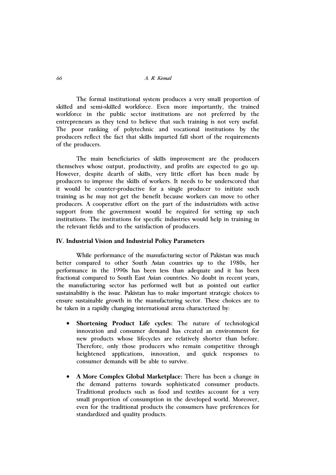The formal institutional system produces a very small proportion of skilled and semi-skilled workforce. Even more importantly, the trained workforce in the public sector institutions are not preferred by the entrepreneurs as they tend to believe that such training is not very useful. The poor ranking of polytechnic and vocational institutions by the producers reflect the fact that skills imparted fall short of the requirements of the producers.

 The main beneficiaries of skills improvement are the producers themselves whose output, productivity, and profits are expected to go up. However, despite dearth of skills, very little effort has been made by producers to improve the skills of workers. It needs to be underscored that it would be counter-productive for a single producer to initiate such training as he may not get the benefit because workers can move to other producers. A cooperative effort on the part of the industrialists with active support from the government would be required for setting up such institutions. The institutions for specific industries would help in training in the relevant fields and to the satisfaction of producers.

### **IV. Industrial Vision and Industrial Policy Parameters**

While performance of the manufacturing sector of Pakistan was much better compared to other South Asian countries up to the 1980s, her performance in the 1990s has been less than adequate and it has been fractional compared to South East Asian countries. No doubt in recent years, the manufacturing sector has performed well but as pointed out earlier sustainability is the issue. Pakistan has to make important strategic choices to ensure sustainable growth in the manufacturing sector. These choices are to be taken in a rapidly changing international arena characterized by:

- $\bullet$  **Shortening Product Life cycles:** The nature of technological innovation and consumer demand has created an environment for new products whose lifecycles are relatively shorter than before. Therefore, only those producers who remain competitive through heightened applications, innovation, and quick responses to consumer demands will be able to survive.
- $\bullet$  **A More Complex Global Marketplace:** There has been a change in the demand patterns towards sophisticated consumer products. Traditional products such as food and textiles account for a very small proportion of consumption in the developed world. Moreover, even for the traditional products the consumers have preferences for standardized and quality products.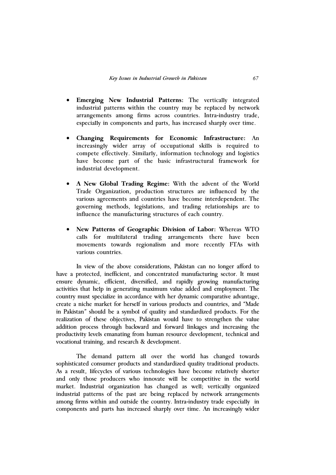- $\bullet$  **Emerging New Industrial Patterns:** The vertically integrated industrial patterns within the country may be replaced by network arrangements among firms across countries. Intra-industry trade, especially in components and parts, has increased sharply over time.
- $\bullet$  **Changing Requirements for Economic Infrastructure:** An increasingly wider array of occupational skills is required to compete effectively. Similarly, information technology and logistics have become part of the basic infrastructural framework for industrial development.
- $\bullet$  **A New Global Trading Regime:** With the advent of the World Trade Organization, production structures are influenced by the various agreements and countries have become interdependent. The governing methods, legislations, and trading relationships are to influence the manufacturing structures of each country.
- $\bullet$  **New Patterns of Geographic Division of Labor:** Whereas WTO calls for multilateral trading arrangements there have been movements towards regionalism and more recently FTAs with various countries.

 In view of the above considerations, Pakistan can no longer afford to have a protected, inefficient, and concentrated manufacturing sector. It must ensure dynamic, efficient, diversified, and rapidly growing manufacturing activities that help in generating maximum value added and employment. The country must specialize in accordance with her dynamic comparative advantage, create a niche market for herself in various products and countries, and "Made in Pakistan" should be a symbol of quality and standardized products. For the realization of these objectives, Pakistan would have to strengthen the value addition process through backward and forward linkages and increasing the productivity levels emanating from human resource development, technical and vocational training, and research & development.

The demand pattern all over the world has changed towards sophisticated consumer products and standardized quality traditional products. As a result, lifecycles of various technologies have become relatively shorter and only those producers who innovate will be competitive in the world market. Industrial organization has changed as well; vertically organized industrial patterns of the past are being replaced by network arrangements among firms within and outside the country. Intra-industry trade especially in components and parts has increased sharply over time. An increasingly wider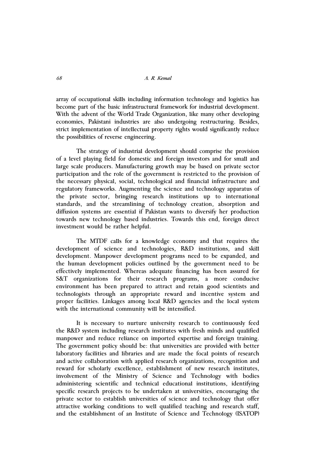array of occupational skills including information technology and logistics has become part of the basic infrastructural framework for industrial development. With the advent of the World Trade Organization, like many other developing economies, Pakistani industries are also undergoing restructuring. Besides, strict implementation of intellectual property rights would significantly reduce the possibilities of reverse engineering.

The strategy of industrial development should comprise the provision of a level playing field for domestic and foreign investors and for small and large scale producers. Manufacturing growth may be based on private sector participation and the role of the government is restricted to the provision of the necessary physical, social, technological and financial infrastructure and regulatory frameworks. Augmenting the science and technology apparatus of the private sector, bringing research institutions up to international standards, and the streamlining of technology creation, absorption and diffusion systems are essential if Pakistan wants to diversify her production towards new technology based industries. Towards this end, foreign direct investment would be rather helpful.

The MTDF calls for a knowledge economy and that requires the development of science and technologies, R&D institutions, and skill development. Manpower development programs need to be expanded, and the human development policies outlined by the government need to be effectively implemented. Whereas adequate financing has been assured for S&T organizations for their research programs, a more conducive environment has been prepared to attract and retain good scientists and technologists through an appropriate reward and incentive system and proper facilities. Linkages among local R&D agencies and the local system with the international community will be intensified.

 It is necessary to nurture university research to continuously feed the R&D system including research institutes with fresh minds and qualified manpower and reduce reliance on imported expertise and foreign training. The government policy should be: that universities are provided with better laboratory facilities and libraries and are made the focal points of research and active collaboration with applied research organizations, recognition and reward for scholarly excellence, establishment of new research institutes, involvement of the Ministry of Science and Technology with bodies administering scientific and technical educational institutions, identifying specific research projects to be undertaken at universities, encouraging the private sector to establish universities of science and technology that offer attractive working conditions to well qualified teaching and research staff, and the establishment of an Institute of Science and Technology (ISATOP)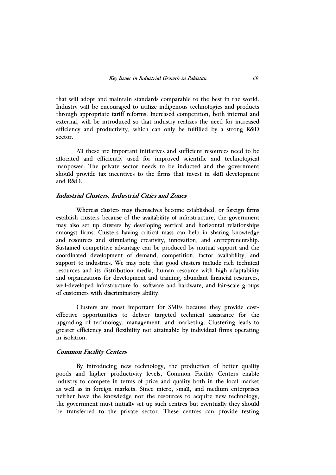that will adopt and maintain standards comparable to the best in the world. Industry will be encouraged to utilize indigenous technologies and products through appropriate tariff reforms. Increased competition, both internal and external, will be introduced so that industry realizes the need for increased efficiency and productivity, which can only be fulfilled by a strong R&D sector.

 All these are important initiatives and sufficient resources need to be allocated and efficiently used for improved scientific and technological manpower. The private sector needs to be inducted and the government should provide tax incentives to the firms that invest in skill development and R&D.

## **Industrial Clusters, Industrial Cities and Zones**

 Whereas clusters may themselves become established, or foreign firms establish clusters because of the availability of infrastructure, the government may also set up clusters by developing vertical and horizontal relationships amongst firms. Clusters having critical mass can help in sharing knowledge and resources and stimulating creativity, innovation, and entrepreneurship. Sustained competitive advantage can be produced by mutual support and the coordinated development of demand, competition, factor availability, and support to industries. We may note that good clusters include rich technical resources and its distribution media, human resource with high adaptability and organizations for development and training, abundant financial resources, well-developed infrastructure for software and hardware, and fair-scale groups of customers with discriminatory ability.

 Clusters are most important for SMEs because they provide costeffective opportunities to deliver targeted technical assistance for the upgrading of technology, management, and marketing. Clustering leads to greater efficiency and flexibility not attainable by individual firms operating in isolation.

### **Common Facility Centers**

By introducing new technology, the production of better quality goods and higher productivity levels, Common Facility Centers enable industry to compete in terms of price and quality both in the local market as well as in foreign markets. Since micro, small, and medium enterprises neither have the knowledge nor the resources to acquire new technology, the government must initially set up such centres but eventually they should be transferred to the private sector. These centres can provide testing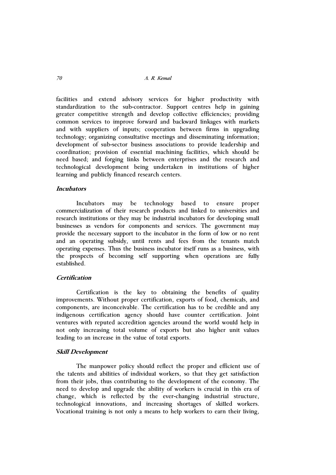facilities and extend advisory services for higher productivity with standardization to the sub-contractor. Support centres help in gaining greater competitive strength and develop collective efficiencies; providing common services to improve forward and backward linkages with markets and with suppliers of inputs; cooperation between firms in upgrading technology; organizing consultative meetings and disseminating information; development of sub-sector business associations to provide leadership and coordination; provision of essential machining facilities, which should be need based; and forging links between enterprises and the research and technological development being undertaken in institutions of higher learning and publicly financed research centers.

### **Incubators**

 Incubators may be technology based to ensure proper commercialization of their research products and linked to universities and research institutions or they may be industrial incubators for developing small businesses as vendors for components and services. The government may provide the necessary support to the incubator in the form of low or no rent and an operating subsidy, until rents and fees from the tenants match operating expenses. Thus the business incubator itself runs as a business, with the prospects of becoming self supporting when operations are fully established.

## **Certification**

Certification is the key to obtaining the benefits of quality improvements. Without proper certification, exports of food, chemicals, and components, are inconceivable. The certification has to be credible and any indigenous certification agency should have counter certification. Joint ventures with reputed accredition agencies around the world would help in not only increasing total volume of exports but also higher unit values leading to an increase in the value of total exports.

### **Skill Development**

The manpower policy should reflect the proper and efficient use of the talents and abilities of individual workers, so that they get satisfaction from their jobs, thus contributing to the development of the economy. The need to develop and upgrade the ability of workers is crucial in this era of change, which is reflected by the ever-changing industrial structure, technological innovations, and increasing shortages of skilled workers. Vocational training is not only a means to help workers to earn their living,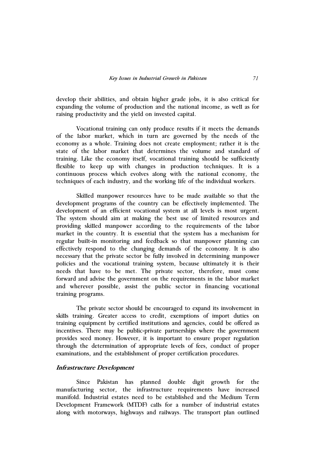develop their abilities, and obtain higher grade jobs, it is also critical for expanding the volume of production and the national income, as well as for raising productivity and the yield on invested capital.

 Vocational training can only produce results if it meets the demands of the labor market, which in turn are governed by the needs of the economy as a whole. Training does not create employment; rather it is the state of the labor market that determines the volume and standard of training. Like the economy itself, vocational training should be sufficiently flexible to keep up with changes in production techniques. It is a continuous process which evolves along with the national economy, the techniques of each industry, and the working life of the individual workers.

Skilled manpower resources have to be made available so that the development programs of the country can be effectively implemented. The development of an efficient vocational system at all levels is most urgent. The system should aim at making the best use of limited resources and providing skilled manpower according to the requirements of the labor market in the country. It is essential that the system has a mechanism for regular built-in monitoring and feedback so that manpower planning can effectively respond to the changing demands of the economy. It is also necessary that the private sector be fully involved in determining manpower policies and the vocational training system, because ultimately it is their needs that have to be met. The private sector, therefore, must come forward and advise the government on the requirements in the labor market and wherever possible, assist the public sector in financing vocational training programs.

The private sector should be encouraged to expand its involvement in skills training. Greater access to credit, exemptions of import duties on training equipment by certified institutions and agencies, could be offered as incentives. There may be public-private partnerships where the government provides seed money. However, it is important to ensure proper regulation through the determination of appropriate levels of fees, conduct of proper examinations, and the establishment of proper certification procedures.

## **Infrastructure Development**

Since Pakistan has planned double digit growth for the manufacturing sector, the infrastructure requirements have increased manifold. Industrial estates need to be established and the Medium Term Development Framework (MTDF) calls for a number of industrial estates along with motorways, highways and railways. The transport plan outlined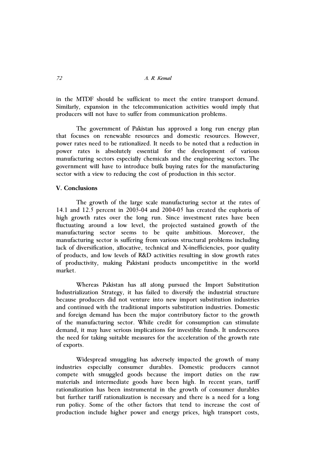in the MTDF should be sufficient to meet the entire transport demand. Similarly, expansion in the telecommunication activities would imply that producers will not have to suffer from communication problems.

The government of Pakistan has approved a long run energy plan that focuses on renewable resources and domestic resources. However, power rates need to be rationalized. It needs to be noted that a reduction in power rates is absolutely essential for the development of various manufacturing sectors especially chemicals and the engineering sectors. The government will have to introduce bulk buying rates for the manufacturing sector with a view to reducing the cost of production in this sector.

## **V. Conclusions**

The growth of the large scale manufacturing sector at the rates of 14.1 and 12.5 percent in 2003-04 and 2004-05 has created the euphoria of high growth rates over the long run. Since investment rates have been fluctuating around a low level, the projected sustained growth of the manufacturing sector seems to be quite ambitious. Moreover, the manufacturing sector is suffering from various structural problems including lack of diversification, allocative, technical and X-inefficiencies, poor quality of products, and low levels of R&D activities resulting in slow growth rates of productivity, making Pakistani products uncompetitive in the world market.

Whereas Pakistan has all along pursued the Import Substitution Industrialization Strategy, it has failed to diversify the industrial structure because producers did not venture into new import substitution industries and continued with the traditional imports substitution industries. Domestic and foreign demand has been the major contributory factor to the growth of the manufacturing sector. While credit for consumption can stimulate demand, it may have serious implications for investible funds. It underscores the need for taking suitable measures for the acceleration of the growth rate of exports.

Widespread smuggling has adversely impacted the growth of many industries especially consumer durables. Domestic producers cannot compete with smuggled goods because the import duties on the raw materials and intermediate goods have been high. In recent years, tariff rationalization has been instrumental in the growth of consumer durables but further tariff rationalization is necessary and there is a need for a long run policy. Some of the other factors that tend to increase the cost of production include higher power and energy prices, high transport costs,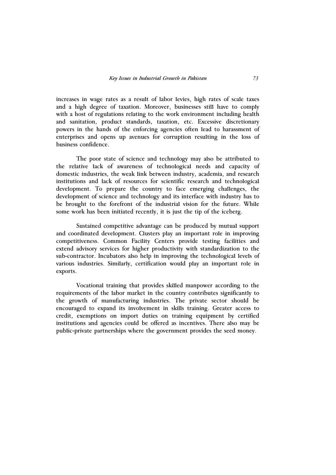increases in wage rates as a result of labor levies, high rates of scale taxes and a high degree of taxation. Moreover, businesses still have to comply with a host of regulations relating to the work environment including health and sanitation, product standards, taxation, etc. Excessive discretionary powers in the hands of the enforcing agencies often lead to harassment of enterprises and opens up avenues for corruption resulting in the loss of business confidence.

The poor state of science and technology may also be attributed to the relative lack of awareness of technological needs and capacity of domestic industries, the weak link between industry, academia, and research institutions and lack of resources for scientific research and technological development. To prepare the country to face emerging challenges, the development of science and technology and its interface with industry has to be brought to the forefront of the industrial vision for the future. While some work has been initiated recently, it is just the tip of the iceberg.

Sustained competitive advantage can be produced by mutual support and coordinated development. Clusters play an important role in improving competitiveness. Common Facility Centers provide testing facilities and extend advisory services for higher productivity with standardization to the sub-contractor. Incubators also help in improving the technological levels of various industries. Similarly, certification would play an important role in exports.

Vocational training that provides skilled manpower according to the requirements of the labor market in the country contributes significantly to the growth of manufacturing industries. The private sector should be encouraged to expand its involvement in skills training. Greater access to credit, exemptions on import duties on training equipment by certified institutions and agencies could be offered as incentives. There also may be public-private partnerships where the government provides the seed money.